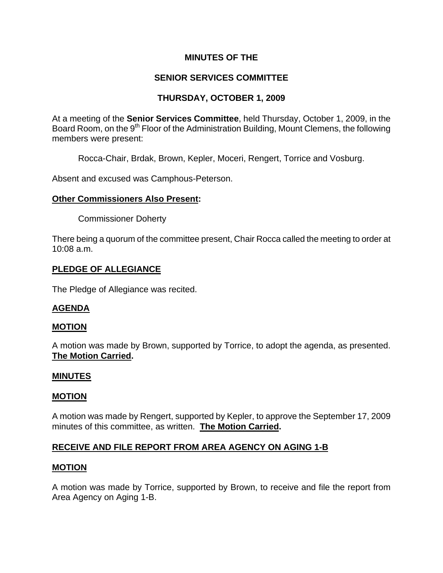## **MINUTES OF THE**

# **SENIOR SERVICES COMMITTEE**

# **THURSDAY, OCTOBER 1, 2009**

At a meeting of the **Senior Services Committee**, held Thursday, October 1, 2009, in the Board Room, on the 9<sup>th</sup> Floor of the Administration Building, Mount Clemens, the following members were present:

Rocca-Chair, Brdak, Brown, Kepler, Moceri, Rengert, Torrice and Vosburg.

Absent and excused was Camphous-Peterson.

### **Other Commissioners Also Present:**

Commissioner Doherty

There being a quorum of the committee present, Chair Rocca called the meeting to order at 10:08 a.m.

### **PLEDGE OF ALLEGIANCE**

The Pledge of Allegiance was recited.

## **AGENDA**

### **MOTION**

A motion was made by Brown, supported by Torrice, to adopt the agenda, as presented. **The Motion Carried.** 

### **MINUTES**

### **MOTION**

A motion was made by Rengert, supported by Kepler, to approve the September 17, 2009 minutes of this committee, as written. **The Motion Carried.** 

## **RECEIVE AND FILE REPORT FROM AREA AGENCY ON AGING 1-B**

### **MOTION**

A motion was made by Torrice, supported by Brown, to receive and file the report from Area Agency on Aging 1-B.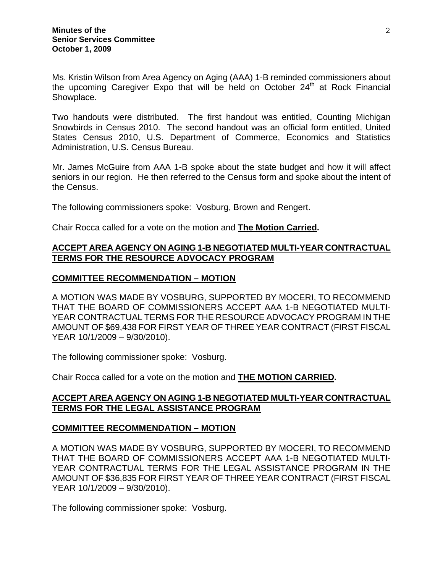Ms. Kristin Wilson from Area Agency on Aging (AAA) 1-B reminded commissioners about the upcoming Caregiver Expo that will be held on October  $24<sup>th</sup>$  at Rock Financial Showplace.

Two handouts were distributed. The first handout was entitled, Counting Michigan Snowbirds in Census 2010. The second handout was an official form entitled, United States Census 2010, U.S. Department of Commerce, Economics and Statistics Administration, U.S. Census Bureau.

Mr. James McGuire from AAA 1-B spoke about the state budget and how it will affect seniors in our region. He then referred to the Census form and spoke about the intent of the Census.

The following commissioners spoke: Vosburg, Brown and Rengert.

Chair Rocca called for a vote on the motion and **The Motion Carried.**

## **ACCEPT AREA AGENCY ON AGING 1-B NEGOTIATED MULTI-YEAR CONTRACTUAL TERMS FOR THE RESOURCE ADVOCACY PROGRAM**

### **COMMITTEE RECOMMENDATION – MOTION**

A MOTION WAS MADE BY VOSBURG, SUPPORTED BY MOCERI, TO RECOMMEND THAT THE BOARD OF COMMISSIONERS ACCEPT AAA 1-B NEGOTIATED MULTI-YEAR CONTRACTUAL TERMS FOR THE RESOURCE ADVOCACY PROGRAM IN THE AMOUNT OF \$69,438 FOR FIRST YEAR OF THREE YEAR CONTRACT (FIRST FISCAL YEAR 10/1/2009 – 9/30/2010).

The following commissioner spoke: Vosburg.

Chair Rocca called for a vote on the motion and **THE MOTION CARRIED.**

### **ACCEPT AREA AGENCY ON AGING 1-B NEGOTIATED MULTI-YEAR CONTRACTUAL TERMS FOR THE LEGAL ASSISTANCE PROGRAM**

### **COMMITTEE RECOMMENDATION – MOTION**

A MOTION WAS MADE BY VOSBURG, SUPPORTED BY MOCERI, TO RECOMMEND THAT THE BOARD OF COMMISSIONERS ACCEPT AAA 1-B NEGOTIATED MULTI-YEAR CONTRACTUAL TERMS FOR THE LEGAL ASSISTANCE PROGRAM IN THE AMOUNT OF \$36,835 FOR FIRST YEAR OF THREE YEAR CONTRACT (FIRST FISCAL YEAR 10/1/2009 – 9/30/2010).

The following commissioner spoke: Vosburg.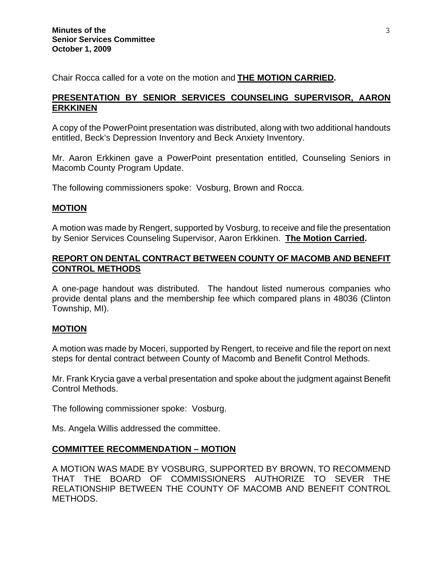Chair Rocca called for a vote on the motion and **THE MOTION CARRIED.** 

### **PRESENTATION BY SENIOR SERVICES COUNSELING SUPERVISOR, AARON ERKKINEN**

A copy of the PowerPoint presentation was distributed, along with two additional handouts entitled, Beck's Depression Inventory and Beck Anxiety Inventory.

Mr. Aaron Erkkinen gave a PowerPoint presentation entitled, Counseling Seniors in Macomb County Program Update.

The following commissioners spoke: Vosburg, Brown and Rocca.

### **MOTION**

A motion was made by Rengert, supported by Vosburg, to receive and file the presentation by Senior Services Counseling Supervisor, Aaron Erkkinen. **The Motion Carried.** 

### **REPORT ON DENTAL CONTRACT BETWEEN COUNTY OF MACOMB AND BENEFIT CONTROL METHODS**

A one-page handout was distributed. The handout listed numerous companies who provide dental plans and the membership fee which compared plans in 48036 (Clinton Township, MI).

#### **MOTION**

A motion was made by Moceri, supported by Rengert, to receive and file the report on next steps for dental contract between County of Macomb and Benefit Control Methods.

Mr. Frank Krycia gave a verbal presentation and spoke about the judgment against Benefit Control Methods.

The following commissioner spoke: Vosburg.

Ms. Angela Willis addressed the committee.

### **COMMITTEE RECOMMENDATION – MOTION**

A MOTION WAS MADE BY VOSBURG, SUPPORTED BY BROWN, TO RECOMMEND THAT THE BOARD OF COMMISSIONERS AUTHORIZE TO SEVER THE RELATIONSHIP BETWEEN THE COUNTY OF MACOMB AND BENEFIT CONTROL METHODS.